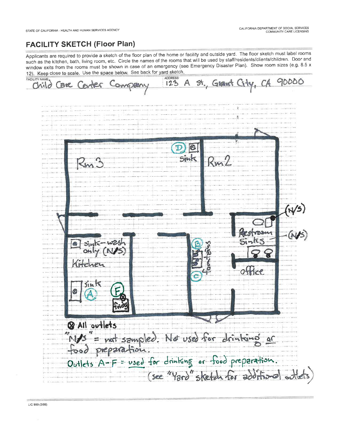## **FACILITY SKETCH (Floor Plan)**

Applicants are required to provide a sketch of the floor plan of the home or facility and outside yard. The floor sketch must label rooms such as the kitchen, bath, living room, etc. Circle the names of the rooms that will be used by staff/residents/clients/children. Door and window exits from the rooms must be shown in case of an emergency (see Emergency Disaster Plan). Show room sizes (e.g. 8.5 x 12). Keep close to scale. Use the space below. See back for yard sketch.

**ADDRESS** FACILITY NAME 90000 st., Grawt City, CA A 123 Child are Center B Sinte (N/S)<br>- (N/S)  $sin$  $sin k$ **Q** All outlets "N/S" = not sampled. Not used for drinking or<br>food preparation.<br>Outlets A-F = used for drinking or food preparation. (see "Yard" sketch for additional out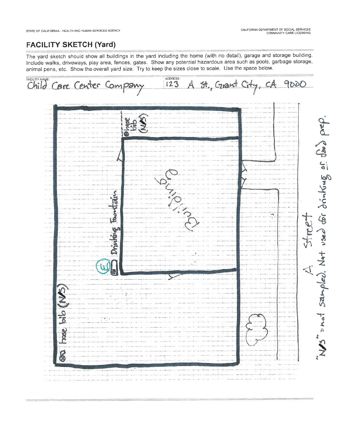## **FACILITY SKETCH (Yard)**

The yard sketch should show all buildings in the yard including the home (with no detail), garage and storage building. Include walks, driveways, play area, fences, gates. Show any potential hazardous area such as pools, garbage storage, animal pens, etc. Show the overall yard size. Try to keep the sizes close to scale. Use the space below.